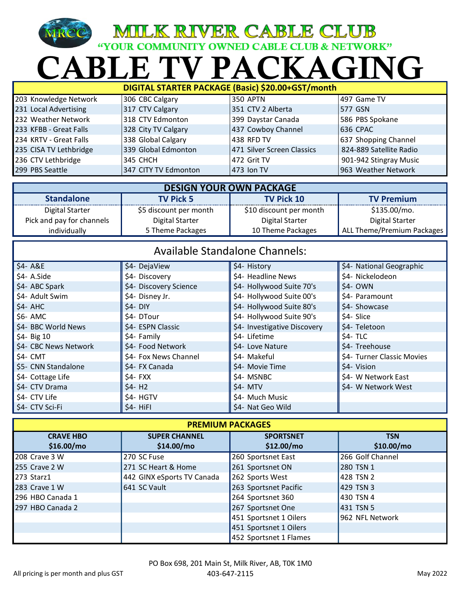## $\bigcap$  Al **MILK RIVER CABLE CLUB**<br>
"YOUR COMMUNITY OWNED CABLE CLUB & NETWORK"<br>
BLE TV PACKAGING

| DIGITAL STARTER PACKAGE (Basic) \$20.00+GST/month |                      |                            |                         |
|---------------------------------------------------|----------------------|----------------------------|-------------------------|
| 203 Knowledge Network                             | 306 CBC Calgary      | <b>350 APTN</b>            | 497 Game TV             |
| 231 Local Advertising                             | 317 CTV Calgary      | 351 CTV 2 Alberta          | 577 GSN                 |
| 232 Weather Network                               | 318 CTV Edmonton     | 399 Daystar Canada         | 586 PBS Spokane         |
| 233 KFBB - Great Falls                            | 328 City TV Calgary  | 437 Cowboy Channel         | 636 CPAC                |
| 234 KRTV - Great Falls                            | 338 Global Calgary   | 438 RFD TV                 | 637 Shopping Channel    |
| 235 CISA TV Lethbridge                            | 339 Global Edmonton  | 471 Silver Screen Classics | 824-889 Satellite Radio |
| 236 CTV Lethbridge                                | 345 CHCH             | 472 Grit TV                | 901-942 Stingray Music  |
| 299 PBS Seattle                                   | 347 CITY TV Edmonton | $473$ lon TV               | 963 Weather Network     |

| <b>DESIGN YOUR OWN PACKAGE</b> |                        |                         |                            |
|--------------------------------|------------------------|-------------------------|----------------------------|
| <b>Standalone</b>              | <b>TV Pick 5</b>       | <b>TV Pick 10</b>       | <b>TV Premium</b>          |
| Digital Starter                | \$5 discount per month | \$10 discount per month | $$135.00/mol$ .            |
| Pick and pay for channels      | Digital Starter        | Digital Starter         | Digital Starter            |
| individually                   | 5 Theme Packages       | 10 Theme Packages       | ALL Theme/Premium Packages |

| <b>Available Standalone Channels:</b> |                        |                              |                            |
|---------------------------------------|------------------------|------------------------------|----------------------------|
| $$4-ABE$                              | \$4- DejaView          | \$4- History                 | \$4- National Geographic   |
| \$4- A.Side                           | \$4- Discovery         | \$4- Headline News           | \$4- Nickelodeon           |
| \$4- ABC Spark                        | \$4- Discovery Science | \$4- Hollywood Suite 70's    | $$4-OWN$$                  |
| \$4- Adult Swim                       | \$4- Disney Jr.        | \$4- Hollywood Suite 00's    | \$4- Paramount             |
| $$4-$ AHC                             | \$4- DIY               | \$4- Hollywood Suite 80's    | \$4- Showcase              |
| $$6-$ AMC                             | \$4- DTour             | \$4- Hollywood Suite 90's    | \$4- Slice                 |
| \$4- BBC World News                   | \$4- ESPN Classic      | \$4- Investigative Discovery | \$4- Teletoon              |
| $$4- Big 10$                          | \$4- Family            | \$4- Lifetime                | \$4- TLC                   |
| \$4- CBC News Network                 | \$4- Food Network      | \$4- Love Nature             | \$4- Treehouse             |
| \$4- CMT                              | \$4- Fox News Channel  | \$4- Makeful                 | \$4- Turner Classic Movies |
| \$5- CNN Standalone                   | \$4- FX Canada         | \$4- Movie Time              | \$4- Vision                |
| \$4- Cottage Life                     | \$4- FXX               | \$4- MSNBC                   | \$4- W Network East        |
| \$4- CTV Drama                        | $$4 - H2$              | $$4-$ MTV                    | \$4- W Network West        |
| \$4- CTV Life                         | \$4- HGTV              | \$4- Much Music              |                            |
| \$4- CTV Sci-Fi                       | $$4-HiFI$              | \$4- Nat Geo Wild            |                            |

| <b>PREMIUM PACKAGES</b>        |                                    |                                |                           |
|--------------------------------|------------------------------------|--------------------------------|---------------------------|
| <b>CRAVE HBO</b><br>\$16.00/mo | <b>SUPER CHANNEL</b><br>\$14.00/mo | <b>SPORTSNET</b><br>\$12.00/mo | <b>TSN</b><br>\$10.00/mol |
| 208 Crave 3 W                  | 270 SC Fuse                        | 260 Sportsnet East             | 266 Golf Channel          |
| 255 Crave 2 W                  | 271 SC Heart & Home                | 261 Sportsnet ON               | 280 TSN 1                 |
| 273 Starz1                     | 442 GINX eSports TV Canada         | 262 Sports West                | 428 TSN 2                 |
| 283 Crave 1 W                  | 641 SC Vault                       | 263 Sportsnet Pacific          | 429 TSN 3                 |
| 296 HBO Canada 1               |                                    | 264 Sportsnet 360              | 430 TSN 4                 |
| 297 HBO Canada 2               |                                    | 267 Sportsnet One              | 431 TSN 5                 |
|                                |                                    | 451 Sportsnet 1 Oilers         | 962 NFL Network           |
|                                |                                    | 451 Sportsnet 1 Oilers         |                           |
|                                |                                    | 452 Sportsnet 1 Flames         |                           |